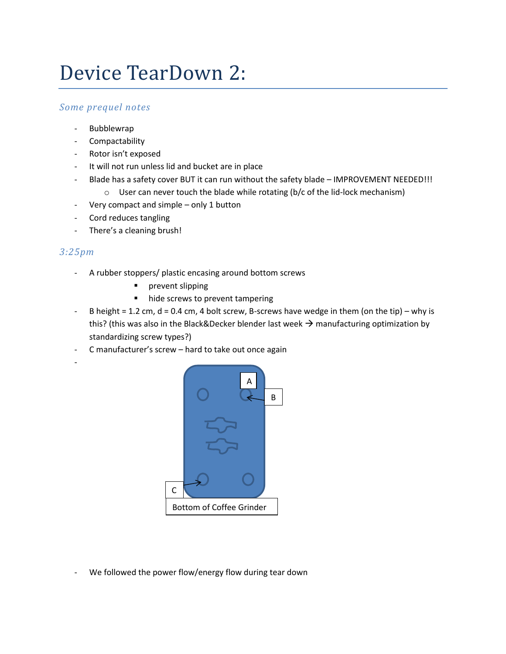## Device TearDown 2:

## *Some prequel notes*

- Bubblewrap
- **Compactability**
- Rotor isn't exposed
- It will not run unless lid and bucket are in place
- Blade has a safety cover BUT it can run without the safety blade IMPROVEMENT NEEDED!!!
	- $\circ$  User can never touch the blade while rotating (b/c of the lid-lock mechanism)
- Very compact and simple only 1 button
- Cord reduces tangling
- There's a cleaning brush!

## *3:25pm*

-

- A rubber stoppers/ plastic encasing around bottom screws
	- **P** prevent slipping
	- hide screws to prevent tampering
- B height = 1.2 cm, d = 0.4 cm, 4 bolt screw, B-screws have wedge in them (on the tip) why is this? (this was also in the Black&Decker blender last week  $\rightarrow$  manufacturing optimization by standardizing screw types?)
- C manufacturer's screw hard to take out once again



We followed the power flow/energy flow during tear down